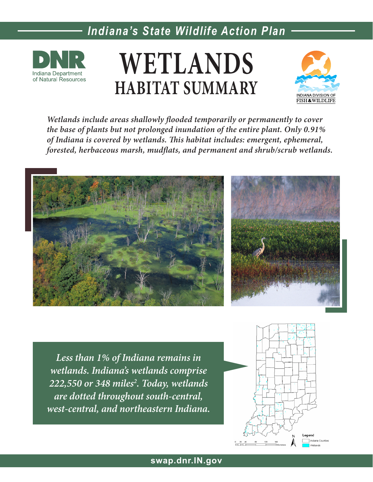

# **WETLANDS HABITAT SUMMARY**



*Wetlands include areas shallowly flooded temporarily or permanently to cover the base of plants but not prolonged inundation of the entire plant. Only 0.91% of Indiana is covered by wetlands. This habitat includes: emergent, ephemeral, forested, herbaceous marsh, mudflats, and permanent and shrub/scrub wetlands.*



*Less than 1% of Indiana remains in wetlands. Indiana's wetlands comprise 222,550 or 348 miles2 . Today, wetlands are dotted throughout south-central, west-central, and northeastern Indiana.*

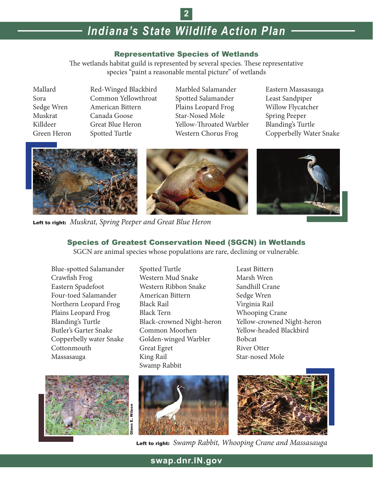**2**

#### Representative Species of Wetlands

The wetlands habitat guild is represented by several species. These representative species "paint a reasonable mental picture" of wetlands

Mallard Red-Winged Blackbird Marbled Salamander Eastern Massasauga Sora Common Yellowthroat Spotted Salamander Least Sandpiper Sedge Wren American Bittern Plains Leopard Frog Willow Flycatcher Muskrat Canada Goose Star-Nosed Mole Spring Peeper Killdeer Great Blue Heron Yellow-Throated Warbler Blanding's Turtle

Green Heron Spotted Turtle Western Chorus Frog Copperbelly Water Snake



Left to right: *Muskrat, Spring Peeper and Great Blue Heron*

### Species of Greatest Conservation Need (SGCN) in Wetlands

SGCN are animal species whose populations are rare, declining or vulnerable.







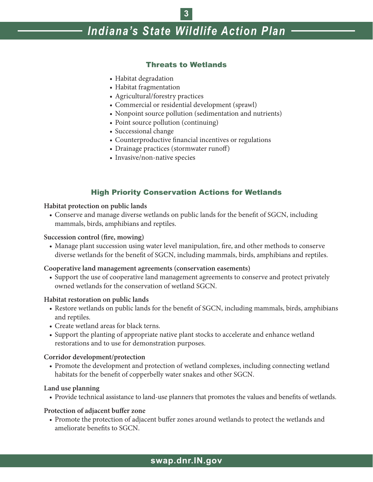## **3**

# *Indiana's State Wildlife Action Plan*

#### Threats to Wetlands

- Habitat degradation
- Habitat fragmentation
- Agricultural/forestry practices
- Commercial or residential development (sprawl)
- Nonpoint source pollution (sedimentation and nutrients)
- Point source pollution (continuing)
- Successional change
- Counterproductive financial incentives or regulations
- Drainage practices (stormwater runoff)
- Invasive/non-native species

#### High Priority Conservation Actions for Wetlands

#### **Habitat protection on public lands**

 • Conserve and manage diverse wetlands on public lands for the benefit of SGCN, including mammals, birds, amphibians and reptiles.

#### **Succession control (fire, mowing)**

 • Manage plant succession using water level manipulation, fire, and other methods to conserve diverse wetlands for the benefit of SGCN, including mammals, birds, amphibians and reptiles.

#### **Cooperative land management agreements (conservation easements)**

• Support the use of cooperative land management agreements to conserve and protect privately owned wetlands for the conservation of wetland SGCN.

#### **Habitat restoration on public lands**

- Restore wetlands on public lands for the benefit of SGCN, including mammals, birds, amphibians and reptiles.
- Create wetland areas for black terns.
- Support the planting of appropriate native plant stocks to accelerate and enhance wetland restorations and to use for demonstration purposes.

#### **Corridor development/protection**

• Promote the development and protection of wetland complexes, including connecting wetland habitats for the benefit of copperbelly water snakes and other SGCN.

#### **Land use planning**

 • Provide technical assistance to land-use planners that promotes the values and benefits of wetlands.

#### **Protection of adjacent buffer zone**

• Promote the protection of adjacent buffer zones around wetlands to protect the wetlands and ameliorate benefits to SGCN.

### **swap.dnr.IN.gov**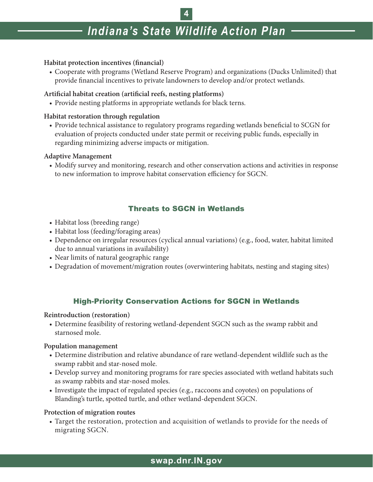**4**

#### **Habitat protection incentives (financial)**

 • Cooperate with programs (Wetland Reserve Program) and organizations (Ducks Unlimited) that provide financial incentives to private landowners to develop and/or protect wetlands.

#### **Artificial habitat creation (artificial reefs, nesting platforms)**

• Provide nesting platforms in appropriate wetlands for black terns.

#### **Habitat restoration through regulation**

 • Provide technical assistance to regulatory programs regarding wetlands beneficial to SCGN for evaluation of projects conducted under state permit or receiving public funds, especially in regarding minimizing adverse impacts or mitigation.

#### **Adaptive Management**

 • Modify survey and monitoring, research and other conservation actions and activities in response to new information to improve habitat conservation efficiency for SGCN.

#### Threats to SGCN in Wetlands

- Habitat loss (breeding range)
- Habitat loss (feeding/foraging areas)
- Dependence on irregular resources (cyclical annual variations) (e.g., food, water, habitat limited due to annual variations in availability)
- Near limits of natural geographic range
- Degradation of movement/migration routes (overwintering habitats, nesting and staging sites)

### High-Priority Conservation Actions for SGCN in Wetlands

#### **Reintroduction (restoration)**

• Determine feasibility of restoring wetland-dependent SGCN such as the swamp rabbit and starnosed mole.

#### **Population management**

- • Determine distribution and relative abundance of rare wetland-dependent wildlife such as the swamp rabbit and star-nosed mole.
- Develop survey and monitoring programs for rare species associated with wetland habitats such as swamp rabbits and star-nosed moles.
- • Investigate the impact of regulated species (e.g., raccoons and coyotes) on populations of Blanding's turtle, spotted turtle, and other wetland-dependent SGCN.

#### **Protection of migration routes**

• Target the restoration, protection and acquisition of wetlands to provide for the needs of migrating SGCN.

### **swap.dnr.IN.gov**